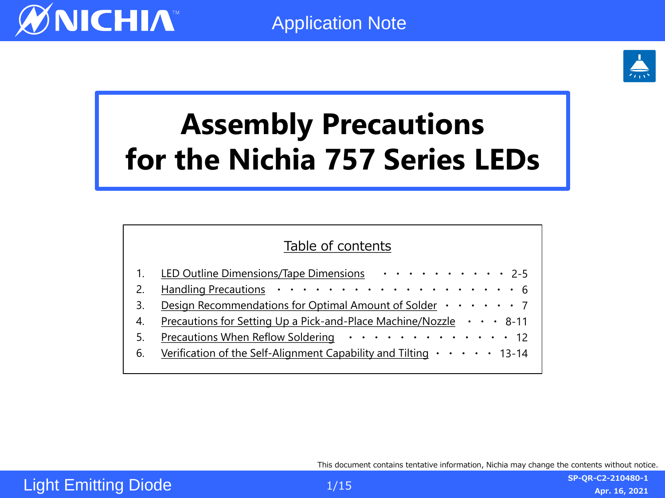

# **Assembly Precautions for the Nichia 757 Series LEDs**

### Table of contents

|    | 1. LED Outline Dimensions/Tape Dimensions 2-5                                                         |  |  |
|----|-------------------------------------------------------------------------------------------------------|--|--|
|    |                                                                                                       |  |  |
|    | Design Recommendations for Optimal Amount of Solder $\cdots \cdots$ 7                                 |  |  |
| 4. | <u>Precautions for Setting Up a Pick-and-Place Machine/Nozzle <math>\cdot \cdot \cdot 8</math>-11</u> |  |  |
| 5. | Precautions When Reflow Soldering 12                                                                  |  |  |
|    | 6. Verification of the Self-Alignment Capability and Tilting $\cdots$ 13-14                           |  |  |
|    |                                                                                                       |  |  |

This document contains tentative information, Nichia may change the contents without notice.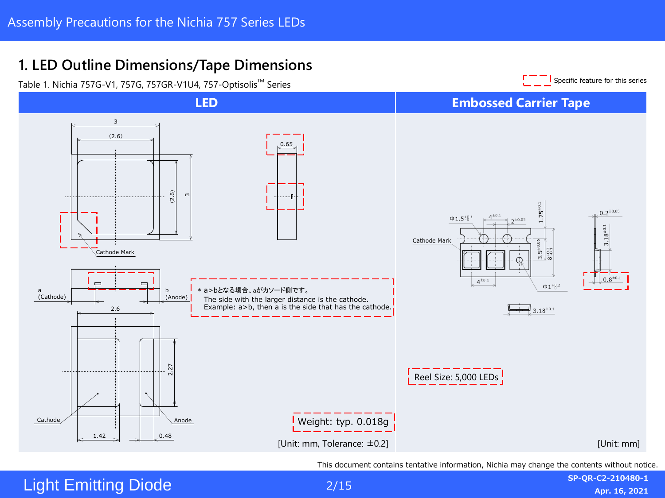### <span id="page-1-0"></span>**1. LED Outline Dimensions/Tape Dimensions** l. LED Outline Dimensions/Tape Dimensions



Light Emitting Diode Protection Device <sup>K</sup> <sup>A</sup>

2/15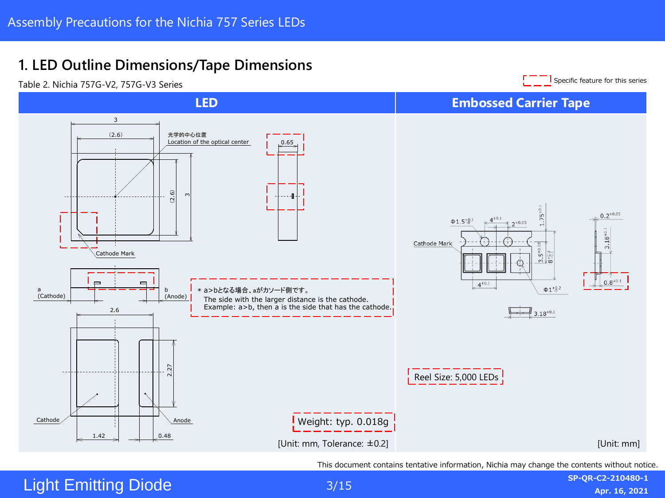### D Outli 1. LED Outline Dimensions/Tape Dimensions



Light Emitting Diode

3/15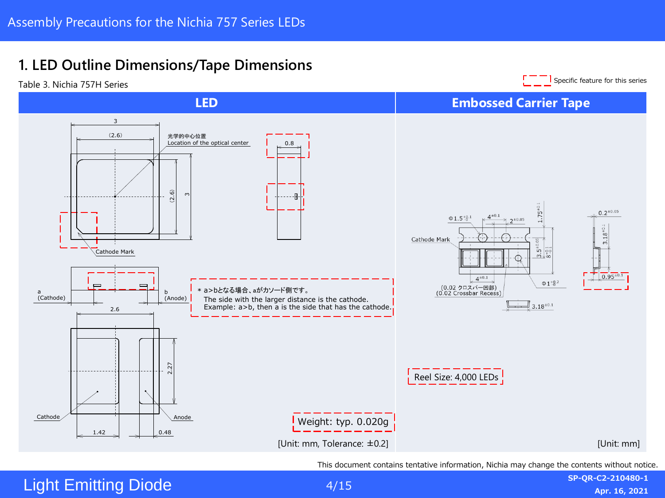## 1. LED Outline Dimensions/Tape Dimensions



Light Emitting Diode

4/15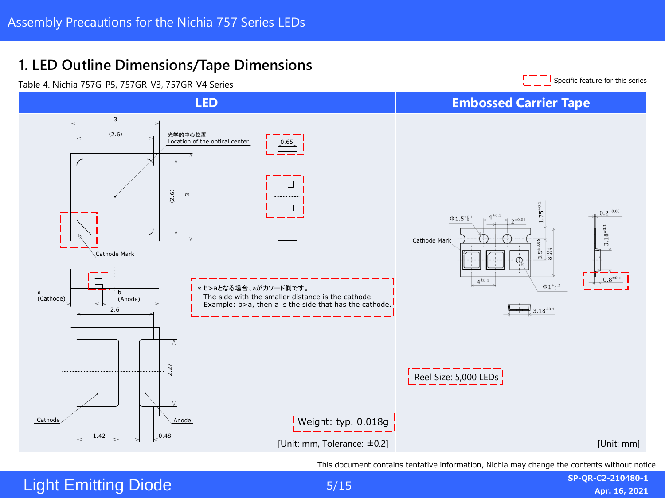### the product complete with Roder with Roughly and Royal State with Roughly Royal State State State State State S<br>Robert Complete State State State State State State State State State State State State State State State Stat <u>.</u><br>LIED Qutlies Directions Tone Directions **1. LED Outline Dimensions/Tape Dimensions**

Cathode Mark



 $S_{\rm 1.5}$  and  $S_{\rm 1.5}$   $\sim$   $\sim$   $\sim$   $\sim$   $\sim$ 

Light Emitting Diode

0.48

1.42

5/15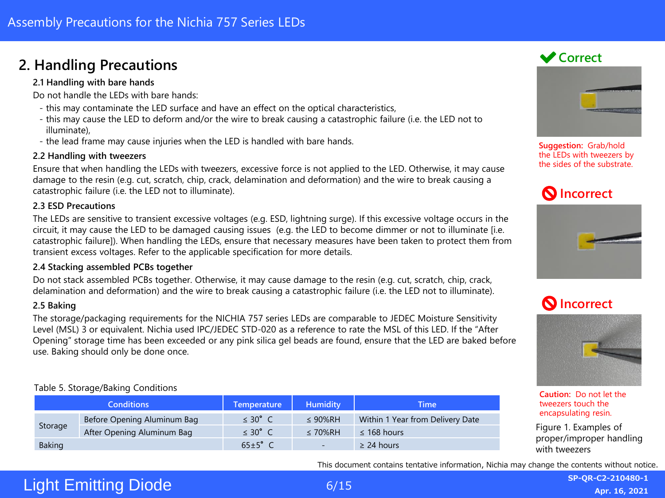### <span id="page-5-0"></span>**2. Handling Precautions**

#### **2.1 Handling with bare hands**

Do not handle the LEDs with bare hands:

- this may contaminate the LED surface and have an effect on the optical characteristics,
- this may cause the LED to deform and/or the wire to break causing a catastrophic failure (i.e. the LED not to illuminate),
- the lead frame may cause injuries when the LED is handled with bare hands.

#### **2.2 Handling with tweezers**

Ensure that when handling the LEDs with tweezers, excessive force is not applied to the LED. Otherwise, it may cause damage to the resin (e.g. cut, scratch, chip, crack, delamination and deformation) and the wire to break causing a catastrophic failure (i.e. the LED not to illuminate).

#### **2.3 ESD Precautions**

The LEDs are sensitive to transient excessive voltages (e.g. ESD, lightning surge). If this excessive voltage occurs in the circuit, it may cause the LED to be damaged causing issues (e.g. the LED to become dimmer or not to illuminate [i.e. catastrophic failure]). When handling the LEDs, ensure that necessary measures have been taken to protect them from transient excess voltages. Refer to the applicable specification for more details.

#### **2.4 Stacking assembled PCBs together**

Do not stack assembled PCBs together. Otherwise, it may cause damage to the resin (e.g. cut, scratch, chip, crack, delamination and deformation) and the wire to break causing a catastrophic failure (i.e. the LED not to illuminate).

#### **2.5 Baking**

The storage/packaging requirements for the NICHIA 757 series LEDs are comparable to JEDEC Moisture Sensitivity Level (MSL) 3 or equivalent. Nichia used IPC/JEDEC STD-020 as a reference to rate the MSL of this LED. If the "After Opening" storage time has been exceeded or any pink silica gel beads are found, ensure that the LED are baked before use. Baking should only be done once.

#### Table 5. Storage/Baking Conditions

|               | <b>Conditions</b>           | <b>Temperature</b>   | <b>Humidity</b> | Time                             |
|---------------|-----------------------------|----------------------|-----------------|----------------------------------|
| Storage       | Before Opening Aluminum Bag | $\leq 30^{\circ}$ C  | $\leq$ 90%RH    | Within 1 Year from Delivery Date |
|               | After Opening Aluminum Bag  | $\leq 30^{\circ}$ C  | $\leq 70\%$ RH  | $\leq$ 168 hours                 |
| <b>Baking</b> |                             | $65 \pm 5^{\circ}$ C | $\sim$          | $\geq$ 24 hours                  |

### **◆ Correct**



**Suggestion:** Grab/hold the LEDs with tweezers by the sides of the substrate.





### **Incorrect**



**Caution:** Do not let the tweezers touch the encapsulating resin.

Figure 1. Examples of proper/improper handling with tweezers

This document contains tentative information, Nichia may change the contents without notice.

### Light Emitting Diode

6/15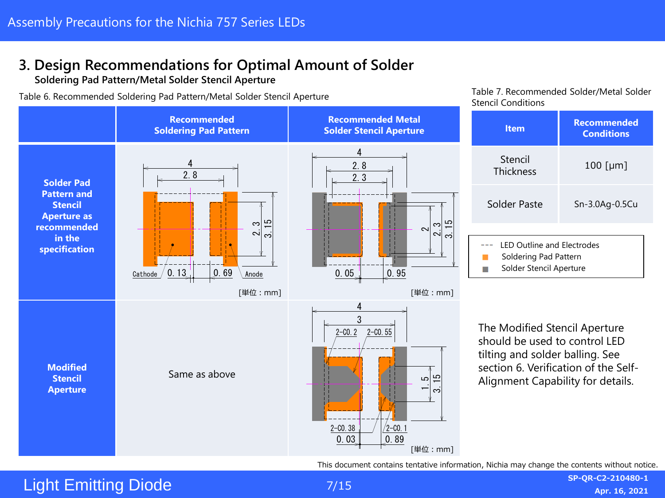### <span id="page-6-0"></span>**3. Design Recommendations for Optimal Amount of Solder**

**Soldering Pad Pattern/Metal Solder Stencil Aperture**

Table 6. Recommended Soldering Pad Pattern/Metal Solder Stencil Aperture Table 7. Recommended Solder/Metal Solder



This document contains tentative information, Nichia may change the contents without notice.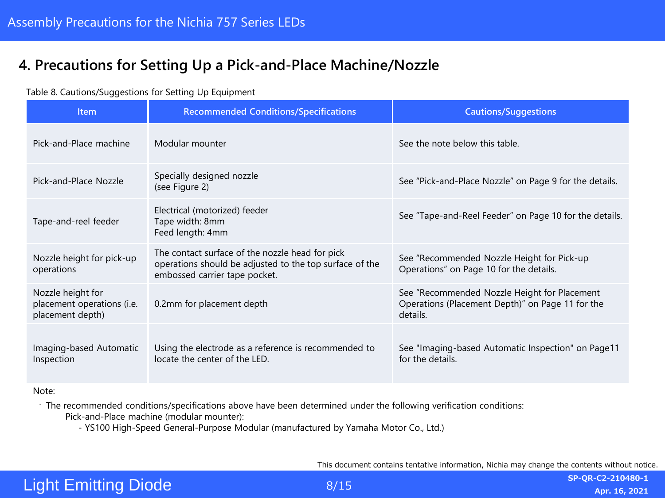### <span id="page-7-0"></span>**4. Precautions for Setting Up a Pick-and-Place Machine/Nozzle**

#### Table 8. Cautions/Suggestions for Setting Up Equipment

| Item                                                                | <b>Recommended Conditions/Specifications</b>                                                                                                | <b>Cautions/Suggestions</b>                                                                                  |
|---------------------------------------------------------------------|---------------------------------------------------------------------------------------------------------------------------------------------|--------------------------------------------------------------------------------------------------------------|
| Pick-and-Place machine                                              | Modular mounter                                                                                                                             | See the note below this table.                                                                               |
| Pick-and-Place Nozzle                                               | Specially designed nozzle<br>(see Figure 2)                                                                                                 | See "Pick-and-Place Nozzle" on Page 9 for the details.                                                       |
| Tape-and-reel feeder                                                | Electrical (motorized) feeder<br>Tape width: 8mm<br>Feed length: 4mm                                                                        | See "Tape-and-Reel Feeder" on Page 10 for the details.                                                       |
| Nozzle height for pick-up<br>operations                             | The contact surface of the nozzle head for pick<br>operations should be adjusted to the top surface of the<br>embossed carrier tape pocket. | See "Recommended Nozzle Height for Pick-up<br>Operations" on Page 10 for the details.                        |
| Nozzle height for<br>placement operations (i.e.<br>placement depth) | 0.2mm for placement depth                                                                                                                   | See "Recommended Nozzle Height for Placement<br>Operations (Placement Depth)" on Page 11 for the<br>details. |
| Imaging-based Automatic<br>Inspection                               | Using the electrode as a reference is recommended to<br>locate the center of the LED.                                                       | See "Imaging-based Automatic Inspection" on Page11<br>for the details.                                       |

Note:

- The recommended conditions/specifications above have been determined under the following verification conditions: Pick-and-Place machine (modular mounter):

- YS100 High-Speed General-Purpose Modular (manufactured by Yamaha Motor Co., Ltd.)

This document contains tentative information, Nichia may change the contents without notice.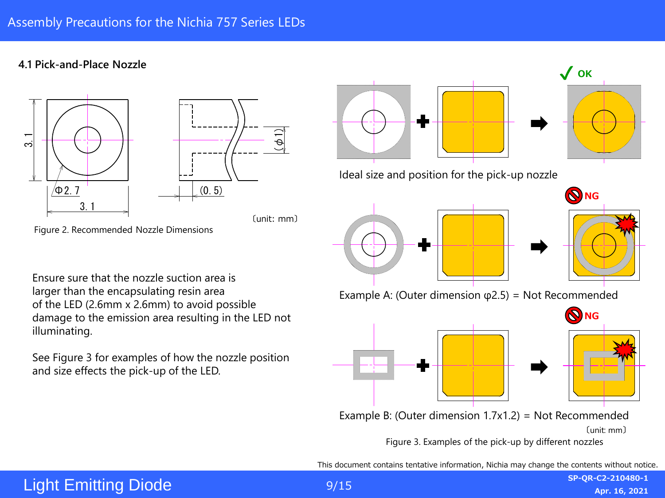#### **4.1 Pick-and-Place Nozzle**





〔unit: mm〕

Figure 2. Recommended Nozzle Dimensions

Ensure sure that the nozzle suction area is larger than the encapsulating resin area of the LED (2.6mm x 2.6mm) to avoid possible damage to the emission area resulting in the LED not illuminating.

See Figure 3 for examples of how the nozzle position and size effects the pick-up of the LED.



This document contains tentative information, Nichia may change the contents without notice.

### Light Emitting Diode

9/15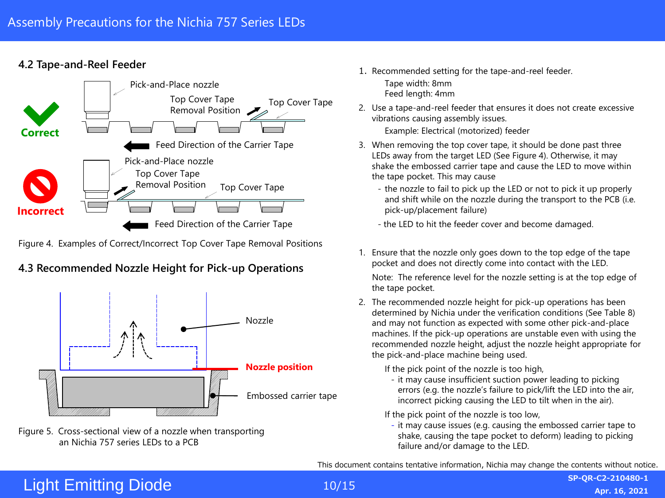#### **4.2 Tape-and-Reel Feeder**



Figure 4. Examples of Correct/Incorrect Top Cover Tape Removal Positions

### **4.3 Recommended Nozzle Height for Pick-up Operations**



Figure 5. Cross-sectional view of a nozzle when transporting an Nichia 757 series LEDs to a PCB

1. Recommended setting for the tape-and-reel feeder.

Tape width: 8mm Feed length: 4mm

2. Use a tape-and-reel feeder that ensures it does not create excessive vibrations causing assembly issues.

Example: Electrical (motorized) feeder

- 3. When removing the top cover tape, it should be done past three LEDs away from the target LED (See Figure 4). Otherwise, it may shake the embossed carrier tape and cause the LED to move within the tape pocket. This may cause
	- the nozzle to fail to pick up the LED or not to pick it up properly and shift while on the nozzle during the transport to the PCB (i.e. pick-up/placement failure)
	- the LED to hit the feeder cover and become damaged.
- 1. Ensure that the nozzle only goes down to the top edge of the tape pocket and does not directly come into contact with the LED.

Note: The reference level for the nozzle setting is at the top edge of the tape pocket.

2. The recommended nozzle height for pick-up operations has been determined by Nichia under the verification conditions (See Table 8) and may not function as expected with some other pick-and-place machines. If the pick-up operations are unstable even with using the recommended nozzle height, adjust the nozzle height appropriate for the pick-and-place machine being used.

If the pick point of the nozzle is too high,

- it may cause insufficient suction power leading to picking errors (e.g. the nozzle's failure to pick/lift the LED into the air, incorrect picking causing the LED to tilt when in the air).

If the pick point of the nozzle is too low,

- it may cause issues (e.g. causing the embossed carrier tape to shake, causing the tape pocket to deform) leading to picking failure and/or damage to the LED.

This document contains tentative information, Nichia may change the contents without notice.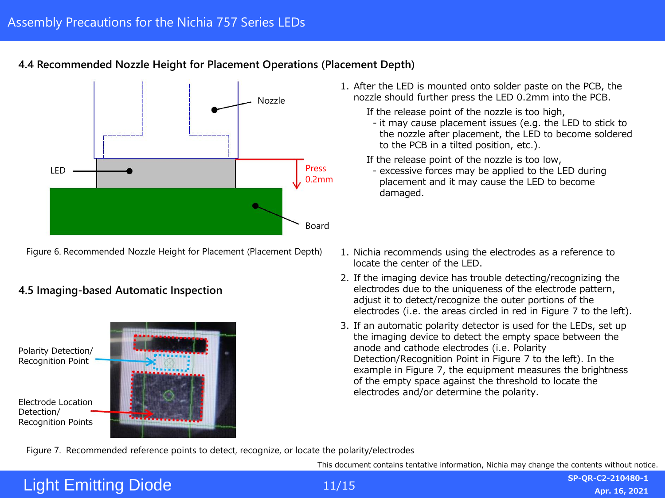



Figure 6. Recommended Nozzle Height for Placement (Placement Depth)

#### **4.5 Imaging-based Automatic Inspection**



- 1. After the LED is mounted onto solder paste on the PCB, the nozzle should further press the LED 0.2mm into the PCB.
	- If the release point of the nozzle is too high, - it may cause placement issues (e.g. the LED to stick to the nozzle after placement, the LED to become soldered to the PCB in a tilted position, etc.).

If the release point of the nozzle is too low,

- excessive forces may be applied to the LED during placement and it may cause the LED to become damaged.
- 1. Nichia recommends using the electrodes as a reference to locate the center of the LED.
- 2. If the imaging device has trouble detecting/recognizing the electrodes due to the uniqueness of the electrode pattern, adjust it to detect/recognize the outer portions of the electrodes (i.e. the areas circled in red in Figure 7 to the left).
- 3. If an automatic polarity detector is used for the LEDs, set up the imaging device to detect the empty space between the anode and cathode electrodes (i.e. Polarity Detection/Recognition Point in Figure 7 to the left). In the example in Figure 7, the equipment measures the brightness of the empty space against the threshold to locate the electrodes and/or determine the polarity.

Figure 7. Recommended reference points to detect, recognize, or locate the polarity/electrodes

This document contains tentative information, Nichia may change the contents without notice.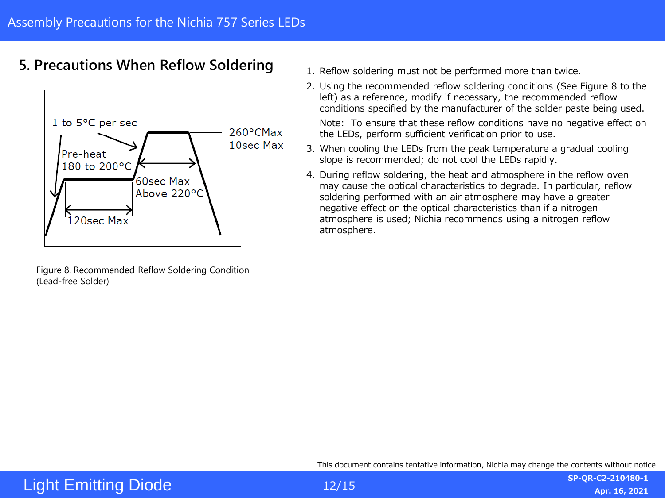### <span id="page-11-0"></span>**5. Precautions When Reflow Soldering**



Figure 8. Recommended Reflow Soldering Condition (Lead-free Solder)

- 1. Reflow soldering must not be performed more than twice.
- 2. Using the recommended reflow soldering conditions (See Figure 8 to the left) as a reference, modify if necessary, the recommended reflow conditions specified by the manufacturer of the solder paste being used.

Note: To ensure that these reflow conditions have no negative effect on the LEDs, perform sufficient verification prior to use.

- 3. When cooling the LEDs from the peak temperature a gradual cooling slope is recommended; do not cool the LEDs rapidly.
- 4. During reflow soldering, the heat and atmosphere in the reflow oven may cause the optical characteristics to degrade. In particular, reflow soldering performed with an air atmosphere may have a greater negative effect on the optical characteristics than if a nitrogen atmosphere is used; Nichia recommends using a nitrogen reflow atmosphere.

This document contains tentative information, Nichia may change the contents without notice.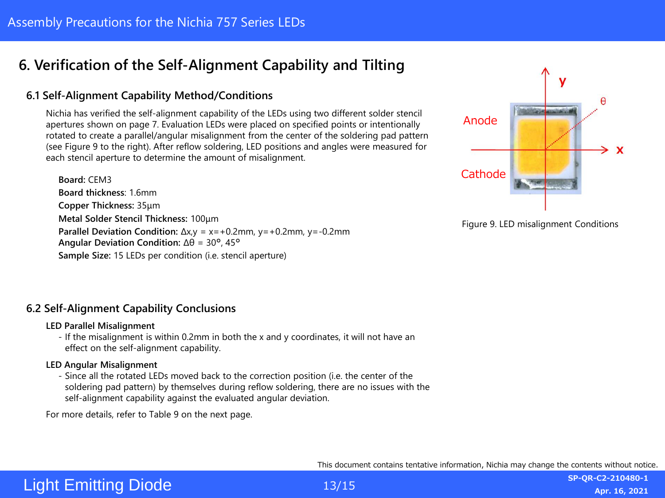### <span id="page-12-0"></span>**6. Verification of the Self-Alignment Capability and Tilting**

#### **6.1 Self-Alignment Capability Method/Conditions**

Nichia has verified the self-alignment capability of the LEDs using two different solder stencil apertures shown on page 7. Evaluation LEDs were placed on specified points or intentionally rotated to create a parallel/angular misalignment from the center of the soldering pad pattern (see Figure 9 to the right). After reflow soldering, LED positions and angles were measured for each stencil aperture to determine the amount of misalignment.

**Board:** CEM3 **Board thickness**: 1.6mm **Copper Thickness:** 35μm **Metal Solder Stencil Thickness:** 100μm **Parallel Deviation Condition:** ∆x,y = x=+0.2mm, y=+0.2mm, y=-0.2mm **Angular Deviation Condition:** ∆θ = 30°, 45° **Sample Size:** 15 LEDs per condition (i.e. stencil aperture)



Figure 9. LED misalignment Conditions

#### **6.2 Self-Alignment Capability Conclusions**

#### **LED Parallel Misalignment**

- If the misalignment is within 0.2mm in both the x and y coordinates, it will not have an effect on the self-alignment capability.

#### **LED Angular Misalignment**

- Since all the rotated LEDs moved back to the correction position (i.e. the center of the soldering pad pattern) by themselves during reflow soldering, there are no issues with the self-alignment capability against the evaluated angular deviation.

For more details, refer to Table 9 on the next page.

This document contains tentative information, Nichia may change the contents without notice.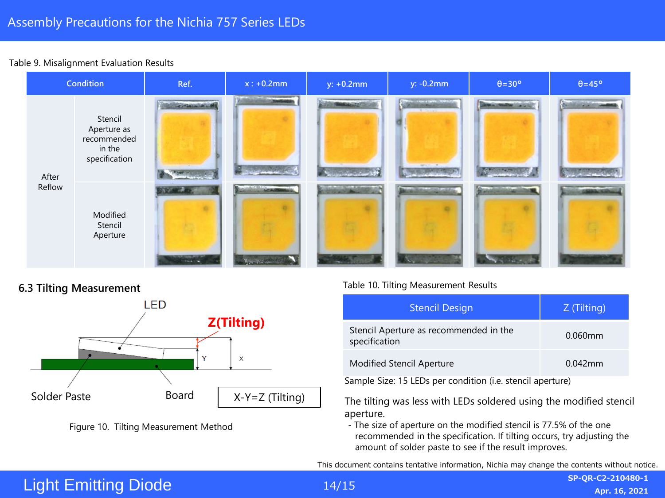#### Table 9. Misalignment Evaluation Results



#### **6.3 Tilting Measurement**





#### Table 10. Tilting Measurement Results

| <b>Stencil Design</b>                                   | Z (Tilting) |
|---------------------------------------------------------|-------------|
| Stencil Aperture as recommended in the<br>specification | 0.060mm     |
| <b>Modified Stencil Aperture</b>                        | $0.042$ mm  |

Sample Size: 15 LEDs per condition (i.e. stencil aperture)

The tilting was less with LEDs soldered using the modified stencil aperture.

- The size of aperture on the modified stencil is 77.5% of the one recommended in the specification. If tilting occurs, try adjusting the amount of solder paste to see if the result improves.

This document contains tentative information, Nichia may change the contents without notice.